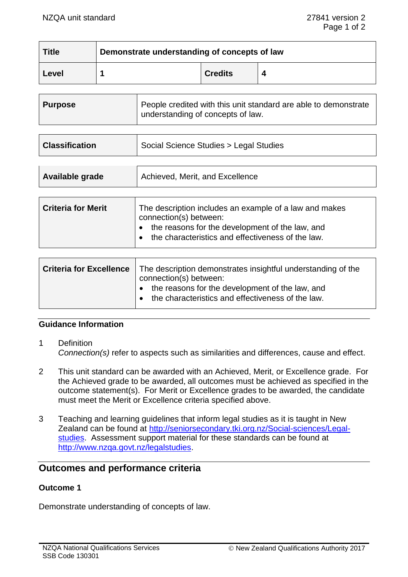| <b>Title</b> | Demonstrate understanding of concepts of law |                |  |
|--------------|----------------------------------------------|----------------|--|
| Level        |                                              | <b>Credits</b> |  |

| <b>Purpose</b> | People credited with this unit standard are able to demonstrate<br>understanding of concepts of law. |
|----------------|------------------------------------------------------------------------------------------------------|
|                |                                                                                                      |

| <b>Classification</b> | Social Science Studies > Legal Studies |  |
|-----------------------|----------------------------------------|--|
|                       |                                        |  |

| Available grade | Achieved, Merit, and Excellence |
|-----------------|---------------------------------|
|                 |                                 |

| the reasons for the development of the law, and<br>the characteristics and effectiveness of the law. | <b>Criteria for Merit</b> | The description includes an example of a law and makes<br>connection(s) between: |
|------------------------------------------------------------------------------------------------------|---------------------------|----------------------------------------------------------------------------------|
|------------------------------------------------------------------------------------------------------|---------------------------|----------------------------------------------------------------------------------|

| Criteria for Excellence   The description demonstrates insightful understanding of the<br>connection(s) between:            |  |
|-----------------------------------------------------------------------------------------------------------------------------|--|
| $\bullet$ the reasons for the development of the law, and<br>the characteristics and effectiveness of the law.<br>$\bullet$ |  |

## **Guidance Information**

- 1 Definition *Connection(s)* refer to aspects such as similarities and differences, cause and effect.
- 2 This unit standard can be awarded with an Achieved, Merit, or Excellence grade. For the Achieved grade to be awarded, all outcomes must be achieved as specified in the outcome statement(s). For Merit or Excellence grades to be awarded, the candidate must meet the Merit or Excellence criteria specified above.
- 3 Teaching and learning guidelines that inform legal studies as it is taught in New Zealand can be found at [http://seniorsecondary.tki.org.nz/Social-sciences/Legal](http://seniorsecondary.tki.org.nz/Social-sciences/Legal-studies)[studies.](http://seniorsecondary.tki.org.nz/Social-sciences/Legal-studies) Assessment support material for these standards can be found at [http://www.nzqa.govt.nz/legalstudies.](http://www.nzqa.govt.nz/legalstudies)

# **Outcomes and performance criteria**

#### **Outcome 1**

Demonstrate understanding of concepts of law.